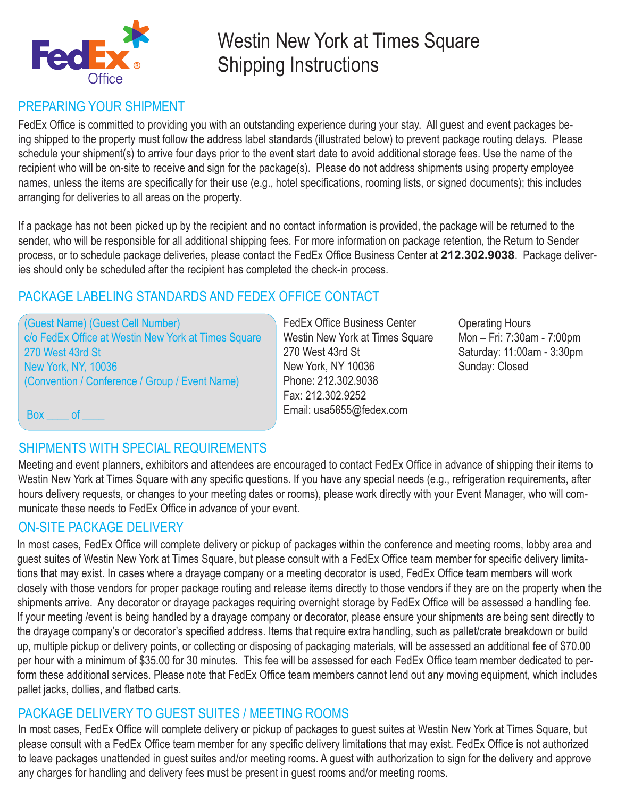

# Westin New York at Times Square Shipping Instructions

### PREPARING YOUR SHIPMENT

FedEx Office is committed to providing you with an outstanding experience during your stay. All guest and event packages being shipped to the property must follow the address label standards (illustrated below) to prevent package routing delays. Please schedule your shipment(s) to arrive four days prior to the event start date to avoid additional storage fees. Use the name of the recipient who will be on-site to receive and sign for the package(s). Please do not address shipments using property employee names, unless the items are specifically for their use (e.g., hotel specifications, rooming lists, or signed documents); this includes arranging for deliveries to all areas on the property.

If a package has not been picked up by the recipient and no contact information is provided, the package will be returned to the sender, who will be responsible for all additional shipping fees. For more information on package retention, the Return to Sender process, or to schedule package deliveries, please contact the FedEx Office Business Center at **212.302.9038**. Package deliveries should only be scheduled after the recipient has completed the check-in process.

### PACKAGE LABELING STANDARDS AND FEDEX OFFICE CONTACT

(Guest Name) (Guest Cell Number) c/o FedEx Office at Westin New York at Times Square 270 West 43rd St New York, NY, 10036 (Convention / Conference / Group / Event Name)

FedEx Office Business Center Westin New York at Times Square 270 West 43rd St New York, NY 10036 Phone: 212.302.9038 Fax: 212.302.9252 Email: usa5655@fedex.com

Operating Hours Mon – Fri: 7:30am - 7:00pm Saturday: 11:00am - 3:30pm Sunday: Closed

Box of

## SHIPMENTS WITH SPECIAL REQUIREMENTS

Meeting and event planners, exhibitors and attendees are encouraged to contact FedEx Office in advance of shipping their items to Westin New York at Times Square with any specific questions. If you have any special needs (e.g., refrigeration requirements, after hours delivery requests, or changes to your meeting dates or rooms), please work directly with your Event Manager, who will communicate these needs to FedEx Office in advance of your event.

### ON-SITE PACKAGE DELIVERY

In most cases, FedEx Office will complete delivery or pickup of packages within the conference and meeting rooms, lobby area and guest suites of Westin New York at Times Square, but please consult with a FedEx Office team member for specific delivery limitations that may exist. In cases where a drayage company or a meeting decorator is used, FedEx Office team members will work closely with those vendors for proper package routing and release items directly to those vendors if they are on the property when the shipments arrive. Any decorator or drayage packages requiring overnight storage by FedEx Office will be assessed a handling fee. If your meeting /event is being handled by a drayage company or decorator, please ensure your shipments are being sent directly to the drayage company's or decorator's specified address. Items that require extra handling, such as pallet/crate breakdown or build up, multiple pickup or delivery points, or collecting or disposing of packaging materials, will be assessed an additional fee of \$70.00 per hour with a minimum of \$35.00 for 30 minutes. This fee will be assessed for each FedEx Office team member dedicated to perform these additional services. Please note that FedEx Office team members cannot lend out any moving equipment, which includes pallet jacks, dollies, and flatbed carts.

### PACKAGE DELIVERY TO GUEST SUITES / MEETING ROOMS

In most cases, FedEx Office will complete delivery or pickup of packages to guest suites at Westin New York at Times Square, but please consult with a FedEx Office team member for any specific delivery limitations that may exist. FedEx Office is not authorized to leave packages unattended in guest suites and/or meeting rooms. A guest with authorization to sign for the delivery and approve any charges for handling and delivery fees must be present in guest rooms and/or meeting rooms.